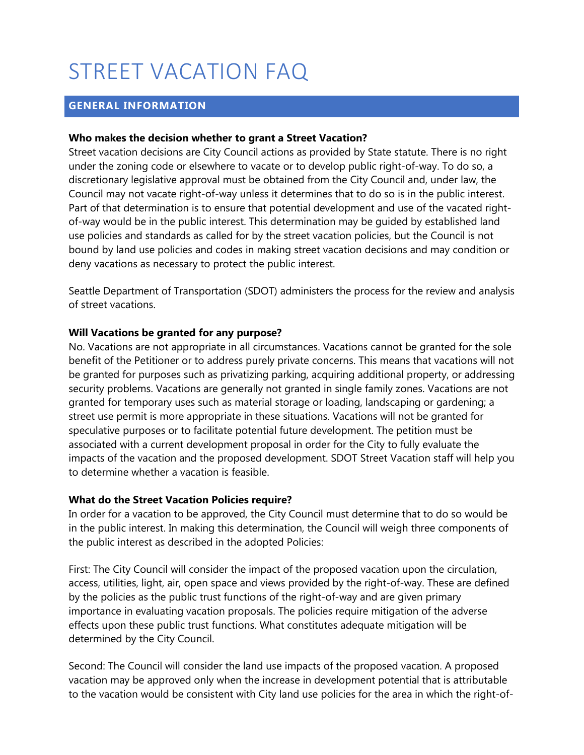# STREET VACATION FAQ

## **GENERAL INFORMATION**

#### **Who makes the decision whether to grant a Street Vacation?**

Street vacation decisions are City Council actions as provided by State statute. There is no right under the zoning code or elsewhere to vacate or to develop public right-of-way. To do so, a discretionary legislative approval must be obtained from the City Council and, under law, the Council may not vacate right-of-way unless it determines that to do so is in the public interest. Part of that determination is to ensure that potential development and use of the vacated rightof-way would be in the public interest. This determination may be guided by established land use policies and standards as called for by the street vacation policies, but the Council is not bound by land use policies and codes in making street vacation decisions and may condition or deny vacations as necessary to protect the public interest.

Seattle Department of Transportation (SDOT) administers the process for the review and analysis of street vacations.

## **Will Vacations be granted for any purpose?**

No. Vacations are not appropriate in all circumstances. Vacations cannot be granted for the sole benefit of the Petitioner or to address purely private concerns. This means that vacations will not be granted for purposes such as privatizing parking, acquiring additional property, or addressing security problems. Vacations are generally not granted in single family zones. Vacations are not granted for temporary uses such as material storage or loading, landscaping or gardening; a street use permit is more appropriate in these situations. Vacations will not be granted for speculative purposes or to facilitate potential future development. The petition must be associated with a current development proposal in order for the City to fully evaluate the impacts of the vacation and the proposed development. SDOT Street Vacation staff will help you to determine whether a vacation is feasible.

#### **What do the Street Vacation Policies require?**

In order for a vacation to be approved, the City Council must determine that to do so would be in the public interest. In making this determination, the Council will weigh three components of the public interest as described in the adopted Policies:

First: The City Council will consider the impact of the proposed vacation upon the circulation, access, utilities, light, air, open space and views provided by the right-of-way. These are defined by the policies as the public trust functions of the right-of-way and are given primary importance in evaluating vacation proposals. The policies require mitigation of the adverse effects upon these public trust functions. What constitutes adequate mitigation will be determined by the City Council.

Second: The Council will consider the land use impacts of the proposed vacation. A proposed vacation may be approved only when the increase in development potential that is attributable to the vacation would be consistent with City land use policies for the area in which the right-of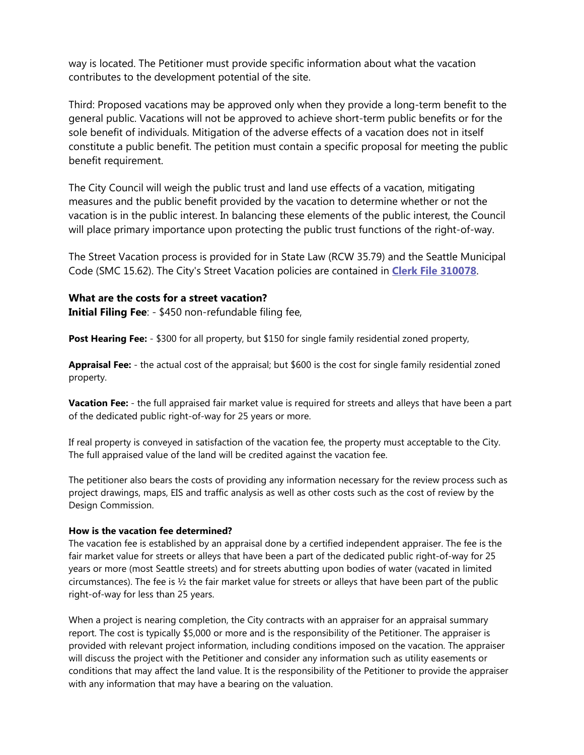way is located. The Petitioner must provide specific information about what the vacation contributes to the development potential of the site.

Third: Proposed vacations may be approved only when they provide a long-term benefit to the general public. Vacations will not be approved to achieve short-term public benefits or for the sole benefit of individuals. Mitigation of the adverse effects of a vacation does not in itself constitute a public benefit. The petition must contain a specific proposal for meeting the public benefit requirement.

The City Council will weigh the public trust and land use effects of a vacation, mitigating measures and the public benefit provided by the vacation to determine whether or not the vacation is in the public interest. In balancing these elements of the public interest, the Council will place primary importance upon protecting the public trust functions of the right-of-way.

The Street Vacation process is provided for in State Law (RCW 35.79) and the Seattle Municipal Code (SMC 15.62). The City's Street Vacation policies are contained in **[Clerk File 310078](http://clerk.seattle.gov/%7Escripts/nph-brs.exe?s1=&s2=&s3=310078&s4=&Sect4=AND&l=20&Sect2=THESON&Sect3=PLURON&Sect5=CFCF1&Sect6=HITOFF&d=CFCF&p=1&u=/%7Epublic/cfcf1.htm&r=1&f=G)**.

#### **What are the costs for a street vacation?**

**Initial Filing Fee**: - \$450 non-refundable filing fee,

**Post Hearing Fee:** - \$300 for all property, but \$150 for single family residential zoned property,

**Appraisal Fee:** - the actual cost of the appraisal; but \$600 is the cost for single family residential zoned property.

**Vacation Fee:** - the full appraised fair market value is required for streets and alleys that have been a part of the dedicated public right-of-way for 25 years or more.

If real property is conveyed in satisfaction of the vacation fee, the property must acceptable to the City. The full appraised value of the land will be credited against the vacation fee.

The petitioner also bears the costs of providing any information necessary for the review process such as project drawings, maps, EIS and traffic analysis as well as other costs such as the cost of review by the Design Commission.

#### **How is the vacation fee determined?**

The vacation fee is established by an appraisal done by a certified independent appraiser. The fee is the fair market value for streets or alleys that have been a part of the dedicated public right-of-way for 25 years or more (most Seattle streets) and for streets abutting upon bodies of water (vacated in limited circumstances). The fee is ½ the fair market value for streets or alleys that have been part of the public right-of-way for less than 25 years.

When a project is nearing completion, the City contracts with an appraiser for an appraisal summary report. The cost is typically \$5,000 or more and is the responsibility of the Petitioner. The appraiser is provided with relevant project information, including conditions imposed on the vacation. The appraiser will discuss the project with the Petitioner and consider any information such as utility easements or conditions that may affect the land value. It is the responsibility of the Petitioner to provide the appraiser with any information that may have a bearing on the valuation.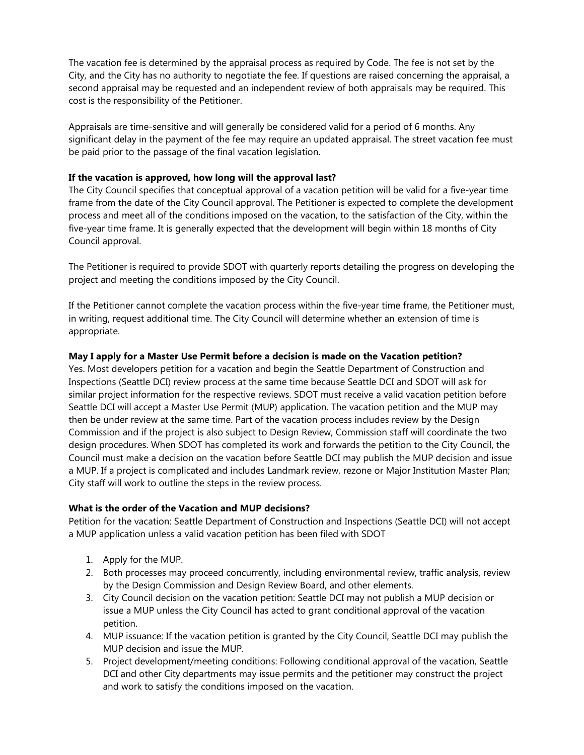The vacation fee is determined by the appraisal process as required by Code. The fee is not set by the City, and the City has no authority to negotiate the fee. If questions are raised concerning the appraisal, a second appraisal may be requested and an independent review of both appraisals may be required. This cost is the responsibility of the Petitioner.

Appraisals are time-sensitive and will generally be considered valid for a period of 6 months. Any significant delay in the payment of the fee may require an updated appraisal. The street vacation fee must be paid prior to the passage of the final vacation legislation.

#### **If the vacation is approved, how long will the approval last?**

The City Council specifies that conceptual approval of a vacation petition will be valid for a five-year time frame from the date of the City Council approval. The Petitioner is expected to complete the development process and meet all of the conditions imposed on the vacation, to the satisfaction of the City, within the five-year time frame. It is generally expected that the development will begin within 18 months of City Council approval.

The Petitioner is required to provide SDOT with quarterly reports detailing the progress on developing the project and meeting the conditions imposed by the City Council.

If the Petitioner cannot complete the vacation process within the five-year time frame, the Petitioner must, in writing, request additional time. The City Council will determine whether an extension of time is appropriate.

#### **May I apply for a Master Use Permit before a decision is made on the Vacation petition?**

Yes. Most developers petition for a vacation and begin the Seattle Department of Construction and Inspections (Seattle DCI) review process at the same time because Seattle DCI and SDOT will ask for similar project information for the respective reviews. SDOT must receive a valid vacation petition before Seattle DCI will accept a Master Use Permit (MUP) application. The vacation petition and the MUP may then be under review at the same time. Part of the vacation process includes review by the Design Commission and if the project is also subject to Design Review, Commission staff will coordinate the two design procedures. When SDOT has completed its work and forwards the petition to the City Council, the Council must make a decision on the vacation before Seattle DCI may publish the MUP decision and issue a MUP. If a project is complicated and includes Landmark review, rezone or Major Institution Master Plan; City staff will work to outline the steps in the review process.

#### **What is the order of the Vacation and MUP decisions?**

Petition for the vacation: Seattle Department of Construction and Inspections (Seattle DCI) will not accept a MUP application unless a valid vacation petition has been filed with SDOT

- 1. Apply for the MUP.
- 2. Both processes may proceed concurrently, including environmental review, traffic analysis, review by the Design Commission and Design Review Board, and other elements.
- 3. City Council decision on the vacation petition: Seattle DCI may not publish a MUP decision or issue a MUP unless the City Council has acted to grant conditional approval of the vacation petition.
- 4. MUP issuance: If the vacation petition is granted by the City Council, Seattle DCI may publish the MUP decision and issue the MUP.
- 5. Project development/meeting conditions: Following conditional approval of the vacation, Seattle DCI and other City departments may issue permits and the petitioner may construct the project and work to satisfy the conditions imposed on the vacation.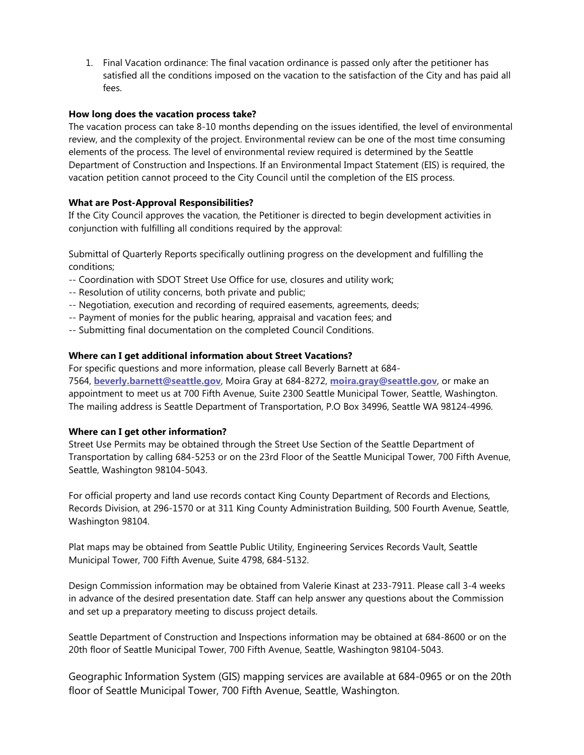1. Final Vacation ordinance: The final vacation ordinance is passed only after the petitioner has satisfied all the conditions imposed on the vacation to the satisfaction of the City and has paid all fees.

#### **How long does the vacation process take?**

The vacation process can take 8-10 months depending on the issues identified, the level of environmental review, and the complexity of the project. Environmental review can be one of the most time consuming elements of the process. The level of environmental review required is determined by the Seattle Department of Construction and Inspections. If an Environmental Impact Statement (EIS) is required, the vacation petition cannot proceed to the City Council until the completion of the EIS process.

## **What are Post-Approval Responsibilities?**

If the City Council approves the vacation, the Petitioner is directed to begin development activities in conjunction with fulfilling all conditions required by the approval:

Submittal of Quarterly Reports specifically outlining progress on the development and fulfilling the conditions;

- -- Coordination with SDOT Street Use Office for use, closures and utility work;
- -- Resolution of utility concerns, both private and public;
- -- Negotiation, execution and recording of required easements, agreements, deeds;
- -- Payment of monies for the public hearing, appraisal and vacation fees; and
- -- Submitting final documentation on the completed Council Conditions.

#### **Where can I get additional information about Street Vacations?**

For specific questions and more information, please call Beverly Barnett at 684- 7564, **[beverly.barnett@seattle.gov](mailto:beverly.barnett@seattle.gov)**, Moira Gray at 684-8272, **[moira.gray@seattle.gov](mailto:moira.gray@seattle.gov)**, or make an appointment to meet us at 700 Fifth Avenue, Suite 2300 Seattle Municipal Tower, Seattle, Washington. The mailing address is Seattle Department of Transportation, P.O Box 34996, Seattle WA 98124-4996.

#### **Where can I get other information?**

Street Use Permits may be obtained through the Street Use Section of the Seattle Department of Transportation by calling 684-5253 or on the 23rd Floor of the Seattle Municipal Tower, 700 Fifth Avenue, Seattle, Washington 98104-5043.

For official property and land use records contact King County Department of Records and Elections, Records Division, at 296-1570 or at 311 King County Administration Building, 500 Fourth Avenue, Seattle, Washington 98104.

Plat maps may be obtained from Seattle Public Utility, Engineering Services Records Vault, Seattle Municipal Tower, 700 Fifth Avenue, Suite 4798, 684-5132.

Design Commission information may be obtained from Valerie Kinast at 233-7911. Please call 3-4 weeks in advance of the desired presentation date. Staff can help answer any questions about the Commission and set up a preparatory meeting to discuss project details.

Seattle Department of Construction and Inspections information may be obtained at 684-8600 or on the 20th floor of Seattle Municipal Tower, 700 Fifth Avenue, Seattle, Washington 98104-5043.

Geographic Information System (GIS) mapping services are available at 684-0965 or on the 20th floor of Seattle Municipal Tower, 700 Fifth Avenue, Seattle, Washington.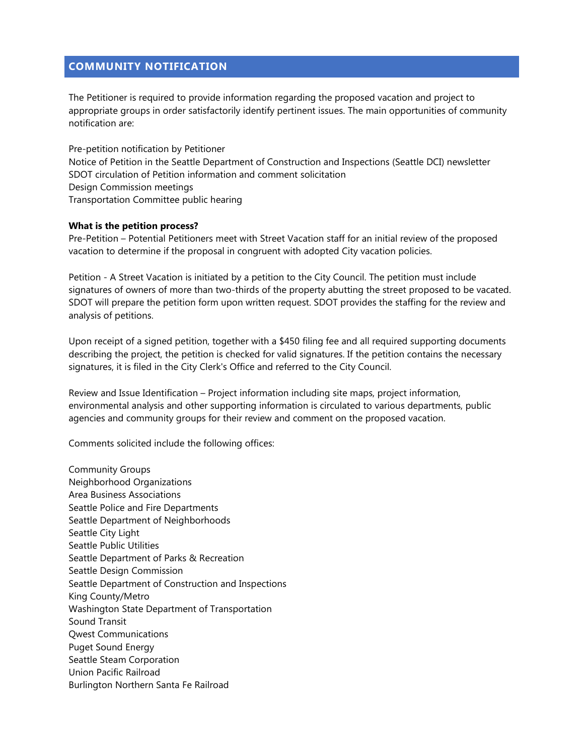## **COMMUNITY NOTIFICATION**

The Petitioner is required to provide information regarding the proposed vacation and project to appropriate groups in order satisfactorily identify pertinent issues. The main opportunities of community notification are:

Pre-petition notification by Petitioner Notice of Petition in the Seattle Department of Construction and Inspections (Seattle DCI) newsletter SDOT circulation of Petition information and comment solicitation Design Commission meetings Transportation Committee public hearing

#### **What is the petition process?**

Pre-Petition – Potential Petitioners meet with Street Vacation staff for an initial review of the proposed vacation to determine if the proposal in congruent with adopted City vacation policies.

Petition - A Street Vacation is initiated by a petition to the City Council. The petition must include signatures of owners of more than two-thirds of the property abutting the street proposed to be vacated. SDOT will prepare the petition form upon written request. SDOT provides the staffing for the review and analysis of petitions.

Upon receipt of a signed petition, together with a \$450 filing fee and all required supporting documents describing the project, the petition is checked for valid signatures. If the petition contains the necessary signatures, it is filed in the City Clerk's Office and referred to the City Council.

Review and Issue Identification – Project information including site maps, project information, environmental analysis and other supporting information is circulated to various departments, public agencies and community groups for their review and comment on the proposed vacation.

Comments solicited include the following offices:

Community Groups Neighborhood Organizations Area Business Associations Seattle Police and Fire Departments Seattle Department of Neighborhoods Seattle City Light Seattle Public Utilities Seattle Department of Parks & Recreation Seattle Design Commission Seattle Department of Construction and Inspections King County/Metro Washington State Department of Transportation Sound Transit Qwest Communications Puget Sound Energy Seattle Steam Corporation Union Pacific Railroad Burlington Northern Santa Fe Railroad